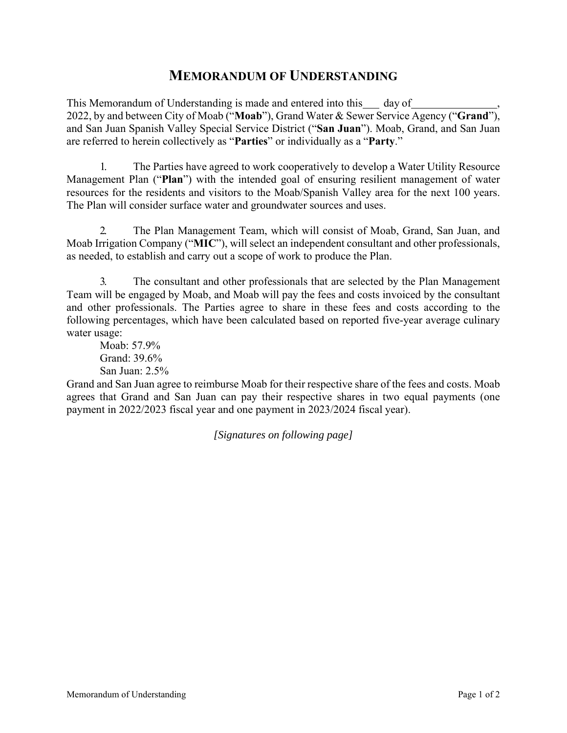## **MEMORANDUM OF UNDERSTANDING**

This Memorandum of Understanding is made and entered into this day of 2022, by and between City of Moab ("**Moab**"), Grand Water & Sewer Service Agency ("**Grand**"), and San Juan Spanish Valley Special Service District ("**San Juan**"). Moab, Grand, and San Juan are referred to herein collectively as "**Parties**" or individually as a "**Party**."

1. The Parties have agreed to work cooperatively to develop a Water Utility Resource Management Plan ("**Plan**") with the intended goal of ensuring resilient management of water resources for the residents and visitors to the Moab/Spanish Valley area for the next 100 years. The Plan will consider surface water and groundwater sources and uses.

2. The Plan Management Team, which will consist of Moab, Grand, San Juan, and Moab Irrigation Company ("**MIC**"), will select an independent consultant and other professionals, as needed, to establish and carry out a scope of work to produce the Plan.

3. The consultant and other professionals that are selected by the Plan Management Team will be engaged by Moab, and Moab will pay the fees and costs invoiced by the consultant and other professionals. The Parties agree to share in these fees and costs according to the following percentages, which have been calculated based on reported five-year average culinary water usage:

Moab: 57.9% Grand: 39.6% San Juan: 2.5%

Grand and San Juan agree to reimburse Moab for their respective share of the fees and costs. Moab agrees that Grand and San Juan can pay their respective shares in two equal payments (one payment in 2022/2023 fiscal year and one payment in 2023/2024 fiscal year).

*[Signatures on following page]*